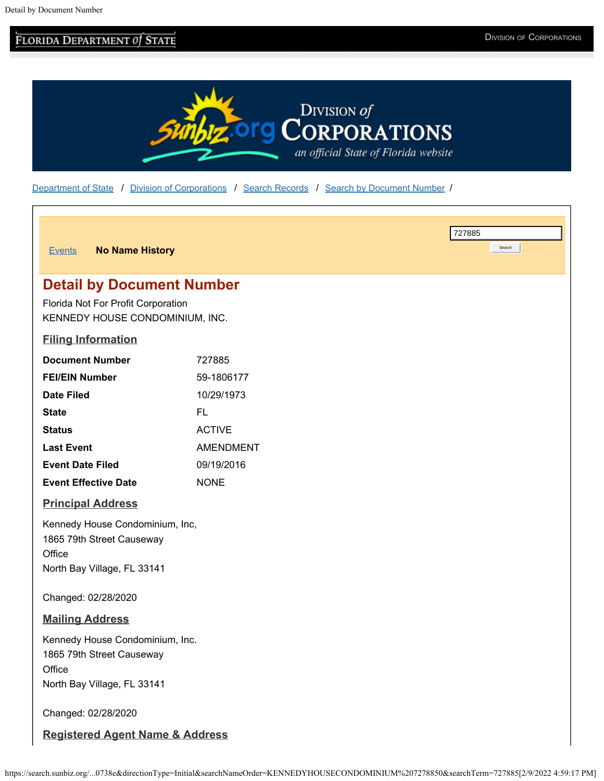# **FLORIDA DEPARTMENT OF STATE STATE DIVISION OF CORPORATIONS**



[Department of State](http://dos.myflorida.com/) / [Division of Corporations](http://dos.myflorida.com/sunbiz/) / [Search Records](http://dos.myflorida.com/sunbiz/search/) / [Search by Document Number](https://search.sunbiz.org/Inquiry/CorporationSearch/ByDocumentNumber) /

| <b>No Name History</b><br><b>Events</b>                                                               |                  |  | 727885<br>Search |  |  |
|-------------------------------------------------------------------------------------------------------|------------------|--|------------------|--|--|
|                                                                                                       |                  |  |                  |  |  |
| <b>Detail by Document Number</b>                                                                      |                  |  |                  |  |  |
| Florida Not For Profit Corporation<br>KENNEDY HOUSE CONDOMINIUM, INC.                                 |                  |  |                  |  |  |
| <b>Filing Information</b>                                                                             |                  |  |                  |  |  |
| <b>Document Number</b>                                                                                | 727885           |  |                  |  |  |
| <b>FEI/EIN Number</b>                                                                                 | 59-1806177       |  |                  |  |  |
| <b>Date Filed</b>                                                                                     | 10/29/1973       |  |                  |  |  |
| <b>State</b>                                                                                          | FL.              |  |                  |  |  |
| <b>Status</b>                                                                                         | <b>ACTIVE</b>    |  |                  |  |  |
| <b>Last Event</b>                                                                                     | <b>AMENDMENT</b> |  |                  |  |  |
| <b>Event Date Filed</b>                                                                               | 09/19/2016       |  |                  |  |  |
| <b>Event Effective Date</b>                                                                           | <b>NONE</b>      |  |                  |  |  |
| <b>Principal Address</b>                                                                              |                  |  |                  |  |  |
| Kennedy House Condominium, Inc,<br>1865 79th Street Causeway<br>Office<br>North Bay Village, FL 33141 |                  |  |                  |  |  |
| Changed: 02/28/2020                                                                                   |                  |  |                  |  |  |
| <b>Mailing Address</b>                                                                                |                  |  |                  |  |  |
| Kennedy House Condominium, Inc.<br>1865 79th Street Causeway<br>Office<br>North Bay Village, FL 33141 |                  |  |                  |  |  |
| Changed: 02/28/2020                                                                                   |                  |  |                  |  |  |
| <b>Registered Agent Name &amp; Address</b>                                                            |                  |  |                  |  |  |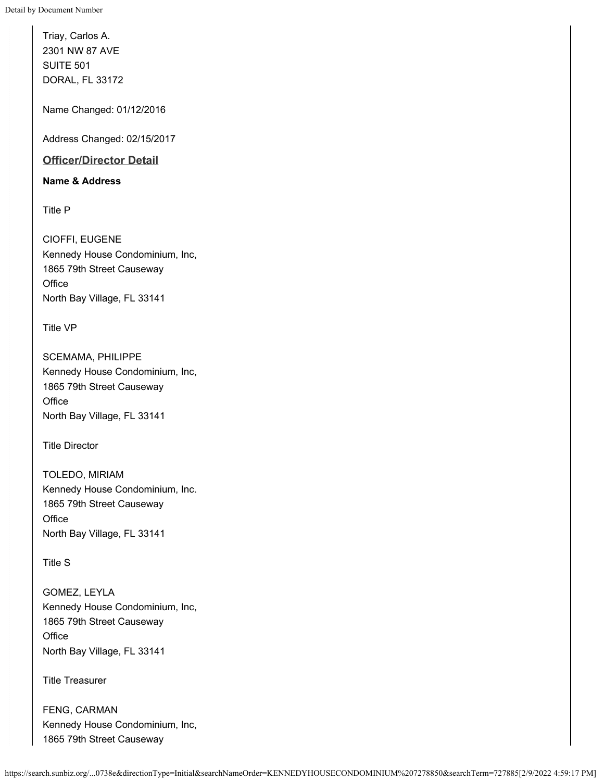Triay, Carlos A. 2301 NW 87 AVE SUITE 501 DORAL, FL 33172

Name Changed: 01/12/2016

Address Changed: 02/15/2017

### **Officer/Director Detail**

#### **Name & Address**

Title P

CIOFFI, EUGENE Kennedy House Condominium, Inc, 1865 79th Street Causeway **Office** North Bay Village, FL 33141

Title VP

SCEMAMA, PHILIPPE Kennedy House Condominium, Inc, 1865 79th Street Causeway **Office** North Bay Village, FL 33141

Title Director

TOLEDO, MIRIAM Kennedy House Condominium, Inc. 1865 79th Street Causeway **Office** North Bay Village, FL 33141

Title S

GOMEZ, LEYLA Kennedy House Condominium, Inc, 1865 79th Street Causeway **Office** North Bay Village, FL 33141

Title Treasurer

FENG, CARMAN Kennedy House Condominium, Inc, 1865 79th Street Causeway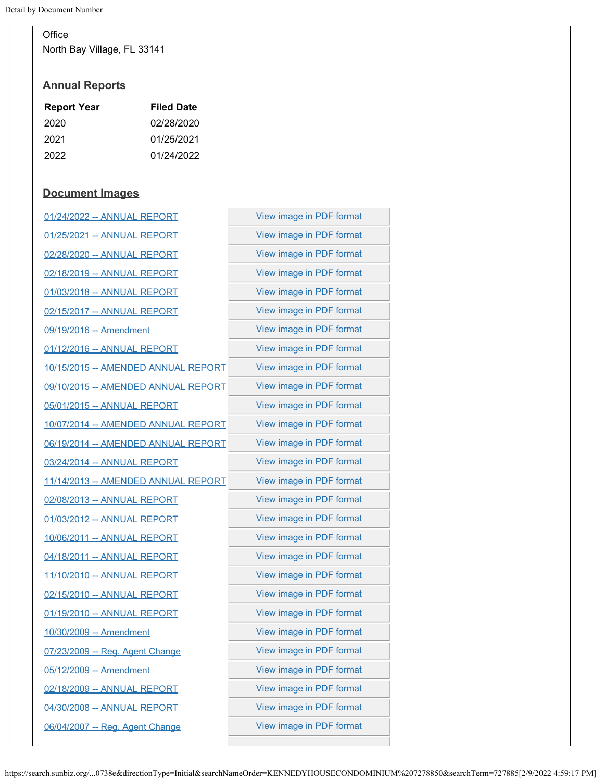Detail by Document Number

**Office** North Bay Village, FL 33141

### **Annual Reports**

| <b>Filed Date</b> |
|-------------------|
| 02/28/2020        |
| 01/25/2021        |
| 01/24/2022        |
|                   |

## **Document Images**

| 01/24/2022 -- ANNUAL REPORT         | View image in PDF format |  |
|-------------------------------------|--------------------------|--|
| 01/25/2021 -- ANNUAL REPORT         | View image in PDF format |  |
| 02/28/2020 -- ANNUAL REPORT         | View image in PDF format |  |
| 02/18/2019 -- ANNUAL REPORT         | View image in PDF format |  |
| 01/03/2018 -- ANNUAL REPORT         | View image in PDF format |  |
| 02/15/2017 -- ANNUAL REPORT         | View image in PDF format |  |
| 09/19/2016 -- Amendment             | View image in PDF format |  |
| 01/12/2016 -- ANNUAL REPORT         | View image in PDF format |  |
| 10/15/2015 -- AMENDED ANNUAL REPORT | View image in PDF format |  |
| 09/10/2015 -- AMENDED ANNUAL REPORT | View image in PDF format |  |
| 05/01/2015 -- ANNUAL REPORT         | View image in PDF format |  |
| 10/07/2014 -- AMENDED ANNUAL REPORT | View image in PDF format |  |
| 06/19/2014 -- AMENDED ANNUAL REPORT | View image in PDF format |  |
| 03/24/2014 -- ANNUAL REPORT         | View image in PDF format |  |
| 11/14/2013 -- AMENDED ANNUAL REPORT | View image in PDF format |  |
| 02/08/2013 -- ANNUAL REPORT         | View image in PDF format |  |
| 01/03/2012 -- ANNUAL REPORT         | View image in PDF format |  |
| 10/06/2011 -- ANNUAL REPORT         | View image in PDF format |  |
| 04/18/2011 -- ANNUAL REPORT         | View image in PDF format |  |
| 11/10/2010 -- ANNUAL REPORT         | View image in PDF format |  |
| 02/15/2010 -- ANNUAL REPORT         | View image in PDF format |  |
| 01/19/2010 -- ANNUAL REPORT         | View image in PDF format |  |
| 10/30/2009 -- Amendment             | View image in PDF format |  |
| 07/23/2009 -- Reg. Agent Change     | View image in PDF format |  |
| 05/12/2009 -- Amendment             | View image in PDF format |  |
| 02/18/2009 -- ANNUAL REPORT         | View image in PDF format |  |
| 04/30/2008 -- ANNUAL REPORT         | View image in PDF format |  |
| 06/04/2007 -- Reg. Agent Change     | View image in PDF format |  |
|                                     |                          |  |

https://search.sunbiz.org/...0738e&directionType=Initial&searchNameOrder=KENNEDYHOUSECONDOMINIUM%207278850&searchTerm=727885[2/9/2022 4:59:17 PM]